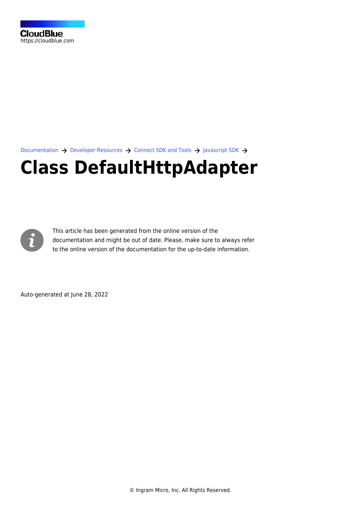[Documentation](https://connect.cloudblue.com/documentation)  $\rightarrow$  [Developer Resources](https://connect.cloudblue.com/community/developers/)  $\rightarrow$  [Connect SDK and Tools](https://connect.cloudblue.com/community/developers/sdk/)  $\rightarrow$  [Javascript SDK](https://connect.cloudblue.com/community/developers/sdk/javascript-sdk/)  $\rightarrow$ 

# **[Class DefaultHttpAdapter](https://connect.cloudblue.com/community/developers/sdk/javascript-sdk/class-defaulthttpadapter/)**



This article has been generated from the online version of the documentation and might be out of date. Please, make sure to always refer to the online version of the documentation for the up-to-date information.

Auto-generated at June 28, 2022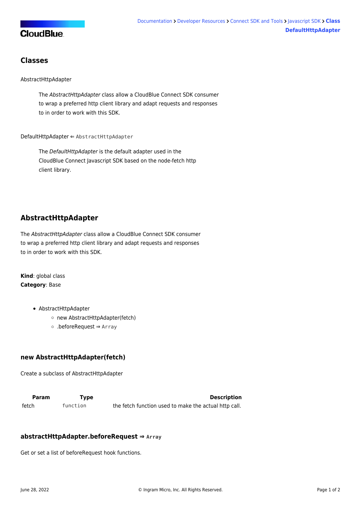

### **Classes**

#### [AbstractHttpAdapter](#page-1-0)

The AbstractHttpAdapter class allow a CloudBlue Connect SDK consumer to wrap a preferred http client library and adapt requests and responses to in order to work with this SDK.

[DefaultHttpAdapter](#page-2-0) ⇐ [AbstractHttpAdapter](#page-1-0)

The DefaultHttpAdapter is the default adapter used in the CloudBlue Connect Javascript SDK based on the node-fetch http client library.

# <span id="page-1-0"></span>**AbstractHttpAdapter**

The AbstractHttpAdapter class allow a CloudBlue Connect SDK consumer to wrap a preferred http client library and adapt requests and responses to in order to work with this SDK.

**Kind**: global class **Category**: Base

- [AbstractHttpAdapter](#page-1-0)
	- [new AbstractHttpAdapter\(fetch\)](#page-1-1)
	- [.beforeRequest](#page-2-1) ⇒ Array

#### <span id="page-1-1"></span>**new AbstractHttpAdapter(fetch)**

Create a subclass of AbstractHttpAdapter

**Param Type Type Description** fetch function the fetch function used to make the actual http call.

#### **abstractHttpAdapter.beforeRequest ⇒ Array**

Get or set a list of beforeRequest hook functions.